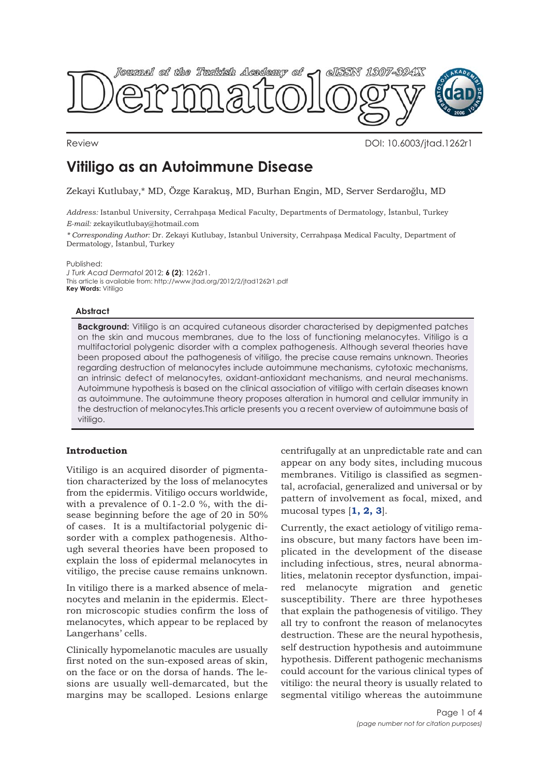<span id="page-0-0"></span>

Review DOI: 10.6003/jtad.1262r1

# **Vitiligo as an Autoimmune Disease**

Zekayi Kutlubay,\* MD, Özge Karakuş, MD, Burhan Engin, MD, Server Serdaroğlu, MD

*Address:* Istanbul University, Cerrahpaşa Medical Faculty, Departments of Dermatology, İstanbul, Turkey *E-mail:* zekayikutlubay@hotmail.com

*\* Corresponding Author:* Dr. Zekayi Kutlubay, Istanbul University, Cerrahpaşa Medical Faculty, Department of Dermatology, İstanbul, Turkey

Published:

*J Turk Acad Dermatol* 2012; **6 (2)**: 1262r1. This article is available from: http://www.jtad.org/2012/2/jtad1262r1.pdf **Key Words:** Vitiligo

## **Abstract**

**Background:** Vitiligo is an acquired cutaneous disorder characterised by depigmented patches on the skin and mucous membranes, due to the loss of functioning melanocytes. Vitiligo is a multifactorial polygenic disorder with a complex pathogenesis. Although several theories have been proposed about the pathogenesis of vitiligo, the precise cause remains unknown. Theories regarding destruction of melanocytes include autoimmune mechanisms, cytotoxic mechanisms, an intrinsic defect of melanocytes, oxidant-antioxidant mechanisms, and neural mechanisms. Autoimmune hypothesis is based on the clinical association of vitiligo with certain diseases known as autoimmune. The autoimmune theory proposes alteration in humoral and cellular immunity in the destruction of melanocytes.This article presents you a recent overview of autoimmune basis of vitiligo.

## **Introduction**

Vitiligo is an acquired disorder of pigmentation characterized by the loss of melanocytes from the epidermis. Vitiligo occurs worldwide, with a prevalence of 0.1-2.0 %, with the disease beginning before the age of 20 in 50% of cases. It is a multifactorial polygenic disorder with a complex pathogenesis. Although several theories have been proposed to explain the loss of epidermal melanocytes in vitiligo, the precise cause remains unknown.

In vitiligo there is a marked absence of melanocytes and melanin in the epidermis. Electron microscopic studies confirm the loss of melanocytes, which appear to be replaced by Langerhans' cells.

Clinically hypomelanotic macules are usually first noted on the sun-exposed areas of skin, on the face or on the dorsa of hands. The lesions are usually well-demarcated, but the margins may be scalloped. Lesions enlarge

centrifugally at an unpredictable rate and can appear on any body sites, including mucous membranes. Vitiligo is classified as segmental, acrofacial, generalized and universal or by pattern of involvement as focal, mixed, and mucosal types [**[1, 2,](#page-3-0) [3](#page-3-0)**].

Currently, the exact aetiology of vitiligo remains obscure, but many factors have been implicated in the development of the disease including infectious, stres, neural abnormalities, melatonin receptor dysfunction, impaired melanocyte migration and genetic susceptibility. There are three hypotheses that explain the pathogenesis of vitiligo. They all try to confront the reason of melanocytes destruction. These are the neural hypothesis, self destruction hypothesis and autoimmune hypothesis. Different pathogenic mechanisms could account for the various clinical types of vitiligo: the neural theory is usually related to segmental vitiligo whereas the autoimmune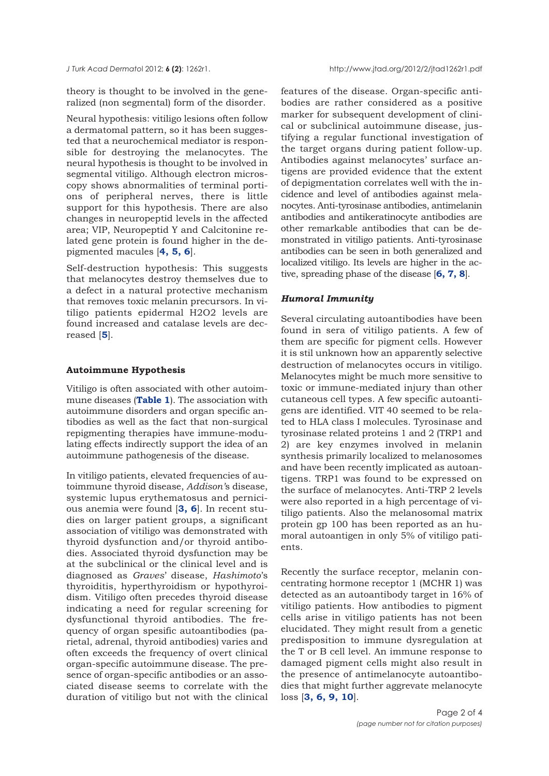<span id="page-1-0"></span>theory is thought to be involved in the generalized (non segmental) form of the disorder.

Neural hypothesis: vitiligo lesions often follow a dermatomal pattern, so it has been suggested that a neurochemical mediator is responsible for destroying the melanocytes. The neural hypothesis is thought to be involved in segmental vitiligo. Although electron microscopy shows abnormalities of terminal portions of peripheral nerves, there is little support for this hypothesis. There are also changes in neuropeptid levels in the affected area; VIP, Neuropeptid Y and Calcitonine related gene protein is found higher in the depigmented macules [**[4, 5,](#page-3-0) [6](#page-3-0)**].

Self-destruction hypothesis: This suggests that melanocytes destroy themselves due to a defect in a natural protective mechanism that removes toxic melanin precursors. In vitiligo patients epidermal H2O2 levels are found increased and catalase levels are decreased [**[5](#page-3-0)**].

## **Autoimmune Hypothesis**

Vitiligo is often associated with other autoimmune diseases (**[Table 1](#page-2-0)**). The association with autoimmune disorders and organ specific antibodies as well as the fact that non-surgical repigmenting therapies have immune-modulating effects indirectly support the idea of an autoimmune pathogenesis of the disease.

In vitiligo patients, elevated frequencies of autoimmune thyroid disease, *Addison'*s disease, systemic lupus erythematosus and pernicious anemia were found [**[3,](#page-3-0) [6](#page-3-0)**]. In recent studies on larger patient groups, a significant association of vitiligo was demonstrated with thyroid dysfunction and/or thyroid antibodies. Associated thyroid dysfunction may be at the subclinical or the clinical level and is diagnosed as *Graves*' disease, *Hashimoto*'s thyroiditis, hyperthyroidism or hypothyroidism. Vitiligo often precedes thyroid disease indicating a need for regular screening for dysfunctional thyroid antibodies. The frequency of organ spesific autoantibodies (parietal, adrenal, thyroid antibodies) varies and often exceeds the frequency of overt clinical organ-specific autoimmune disease. The presence of organ-specific antibodies or an associated disease seems to correlate with the duration of vitiligo but not with the clinical

features of the disease. Organ-specific antibodies are rather considered as a positive marker for subsequent development of clinical or subclinical autoimmune disease, justifying a regular functional investigation of the target organs during patient follow-up. Antibodies against melanocytes' surface antigens are provided evidence that the extent of depigmentation correlates well with the incidence and level of antibodies against melanocytes. Anti-tyrosinase antibodies, antimelanin antibodies and antikeratinocyte antibodies are other remarkable antibodies that can be demonstrated in vitiligo patients. Anti-tyrosinase antibodies can be seen in both generalized and localized vitiligo. Its levels are higher in the active, spreading phase of the disease [**[6, 7, 8](#page-3-0)**].

#### *Humoral Immunity*

Several circulating autoantibodies have been found in sera of vitiligo patients. A few of them are specific for pigment cells. However it is stil unknown how an apparently selective destruction of melanocytes occurs in vitiligo. Melanocytes might be much more sensitive to toxic or immune-mediated injury than other cutaneous cell types. A few specific autoantigens are identified. VIT 40 seemed to be related to HLA class I molecules. Tyrosinase and tyrosinase related proteins 1 and 2 (TRP1 and 2) are key enzymes involved in melanin synthesis primarily localized to melanosomes and have been recently implicated as autoantigens. TRP1 was found to be expressed on the surface of melanocytes. Anti-TRP 2 levels were also reported in a high percentage of vitiligo patients. Also the melanosomal matrix protein gp 100 has been reported as an humoral autoantigen in only 5% of vitiligo patients.

Recently the surface receptor, melanin concentrating hormone receptor 1 (MCHR 1) was detected as an autoantibody target in 16% of vitiligo patients. How antibodies to pigment cells arise in vitiligo patients has not been elucidated. They might result from a genetic predisposition to immune dysregulation at the T or B cell level. An immune response to damaged pigment cells might also result in the presence of antimelanocyte autoantibodies that might further aggrevate melanocyte loss [**[3, 6,](#page-3-0) [9, 10](#page-3-0)**].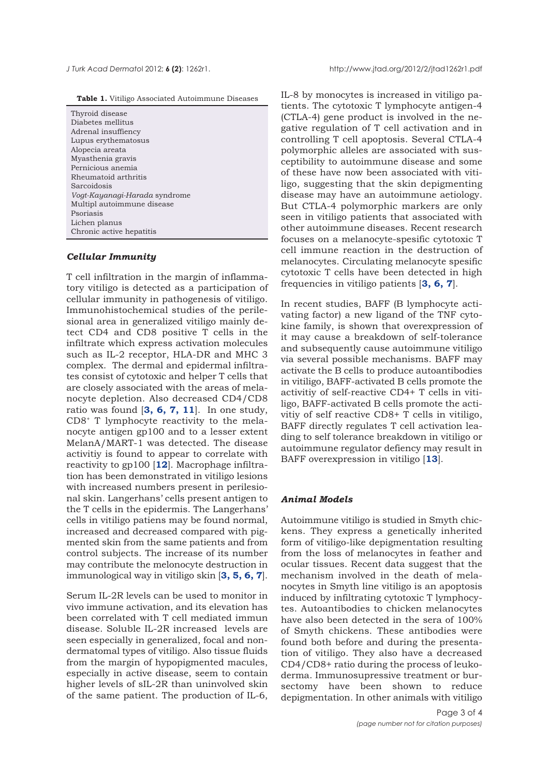<span id="page-2-0"></span>*J Turk Acad Dermato*l 2012; **6 (2)**: 1262r1. http://www.jtad.org/2012/2/jtad1262r1.pdf

| Table 1. Vitiligo Associated Autoimmune Diseases |  |  |  |  |  |
|--------------------------------------------------|--|--|--|--|--|
|--------------------------------------------------|--|--|--|--|--|

| Thyroid disease               |
|-------------------------------|
| Diabetes mellitus             |
| Adrenal insuffiency           |
| Lupus erythematosus           |
| Alopecia areata               |
| Myasthenia gravis             |
| Pernicious anemia             |
| Rheumatoid arthritis          |
| Sarcoidosis                   |
| Voqt-Kayanaqi-Harada syndrome |
| Multipl autoimmune disease    |
| Psoriasis                     |
| Lichen planus                 |
| Chronic active hepatitis      |

## *Cellular Immunity*

T cell infiltration in the margin of inflammatory vitiligo is detected as a participation of cellular immunity in pathogenesis of vitiligo. Immunohistochemical studies of the perilesional area in generalized vitiligo mainly detect CD4 and CD8 positive T cells in the infiltrate which express activation molecules such as IL-2 receptor, HLA-DR and MHC 3 complex. The dermal and epidermal infiltrates consist of cytotoxic and helper T cells that are closely associated with the areas of melanocyte depletion. Also decreased CD4/CD8 ratio was found [**[3,](#page-3-0) [6,](#page-3-0) [7,](#page-3-0) [11](#page-3-0)**]. In one study, CD8+ T lymphocyte reactivity to the melanocyte antigen gp100 and to a lesser extent MelanA/MART-1 was detected. The disease activitiy is found to appear to correlate with reactivity to gp100 [**[12](#page-3-0)**]. Macrophage infiltration has been demonstrated in vitiligo lesions with increased numbers present in perilesional skin. Langerhans' cells present antigen to the T cells in the epidermis. The Langerhans' cells in vitiligo patiens may be found normal, increased and decreased compared with pigmented skin from the same patients and from control subjects. The increase of its number may contribute the melonocyte destruction in immunological way in vitiligo skin [**[3, 5, 6, 7](#page-3-0)**].

Serum IL-2R levels can be used to monitor in vivo immune activation, and its elevation has been correlated with T cell mediated immun disease. Soluble IL-2R increased levels are seen especially in generalized, focal and nondermatomal types of vitiligo. Also tissue fluids from the margin of hypopigmented macules, especially in active disease, seem to contain higher levels of sIL-2R than uninvolved skin of the same patient. The production of IL-6,

IL-8 by monocytes is increased in vitiligo patients. The cytotoxic T lymphocyte antigen-4 (CTLA-4) gene product is involved in the negative regulation of T cell activation and in controlling T cell apoptosis. Several CTLA-4 polymorphic alleles are associated with susceptibility to autoimmune disease and some of these have now been associated with vitiligo, suggesting that the skin depigmenting disease may have an autoimmune aetiology. But CTLA-4 polymorphic markers are only seen in vitiligo patients that associated with other autoimmune diseases. Recent research focuses on a melanocyte-spesific cytotoxic T cell immune reaction in the destruction of melanocytes. Circulating melanocyte spesific cytotoxic T cells have been detected in high frequencies in vitiligo patients [**[3, 6, 7](#page-3-0)**].

In recent studies, BAFF (B lymphocyte activating factor) a new ligand of the TNF cytokine family, is shown that overexpression of it may cause a breakdown of self-tolerance and subsequently cause autoimmune vitiligo via several possible mechanisms. BAFF may activate the B cells to produce autoantibodies in vitiligo, BAFF-activated B cells promote the activitiy of self-reactive CD4+ T cells in vitiligo, BAFF-activated B cells promote the activitiy of self reactive CD8+ T cells in vitiligo, BAFF directly regulates T cell activation leading to self tolerance breakdown in vitiligo or autoimmune regulator defiency may result in BAFF overexpression in vitiligo [**[13](#page-3-0)**].

## *Animal Models*

Autoimmune vitiligo is studied in Smyth chickens. They express a genetically inherited form of vitiligo-like depigmentation resulting from the loss of melanocytes in feather and ocular tissues. Recent data suggest that the mechanism involved in the death of melanocytes in Smyth line vitiligo is an apoptosis induced by infiltrating cytotoxic T lymphocytes. Autoantibodies to chicken melanocytes have also been detected in the sera of 100% of Smyth chickens. These antibodies were found both before and during the presentation of vitiligo. They also have a decreased CD4/CD8+ ratio during the process of leukoderma. Immunosupressive treatment or bursectomy have been shown to reduce depigmentation. In other animals with vitiligo